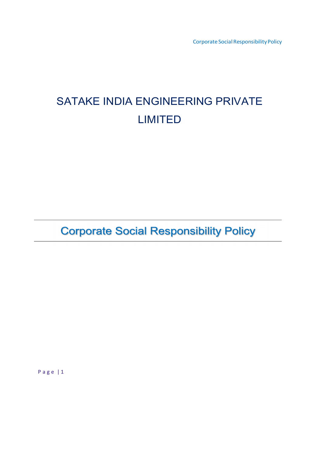Corporate Social Responsibility Policy

# SATAKE INDIA ENGINEERING PRIVATE LIMITED

**Corporate Social Responsibility Policy** 

P a g e | 1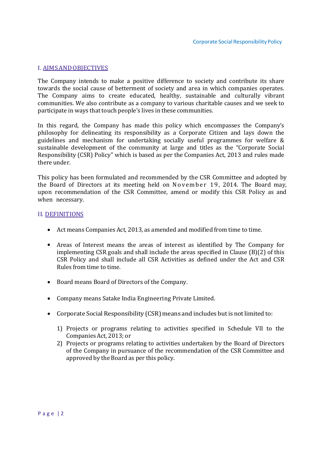#### I. AIMS AND OBJECTIVES

The Company intends to make a positive difference to society and contribute its share towards the social cause of betterment of society and area in which companies operates. The Company aims to create educated, healthy, sustainable and culturally vibrant communities. We also contribute as a company to various charitable causes and we seek to participate in ways that touch people's lives in these communities.

In this regard, the Company has made this policy which encompasses the Company's philosophy for delineating its responsibility as a Corporate Citizen and lays down the guidelines and mechanism for undertaking socially useful programmes for welfare & sustainable development of the community at large and titles as the "Corporate Social Responsibility (CSR) Policy" which is based as per the Companies Act, 2013 and rules made there under.

This policy has been formulated and recommended by the CSR Committee and adopted by the Board of Directors at its meeting held on November 19, 2014. The Board may, upon recommendation of the CSR Committee, amend or modify this CSR Policy as and when necessary.

#### II. DEFINITIONS

- Act means Companies Act, 2013, as amended and modified from time to time.
- Areas of Interest means the areas of interest as identified by The Company for implementing CSR goals and shall include the areas specified in Clause (B)(2) of this CSR Policy and shall include all CSR Activities as defined under the Act and CSR Rules from time to time.
- Board means Board of Directors of the Company.
- Company means Satake India Engineering Private Limited.
- Corporate Social Responsibility (CSR) means and includes but is not limited to:
	- 1) Projects or programs relating to activities specified in Schedule VII to the Companies Act, 2013; or
	- 2) Projects or programs relating to activities undertaken by the Board of Directors of the Company in pursuance of the recommendation of the CSR Committee and approved by the Board as per this policy.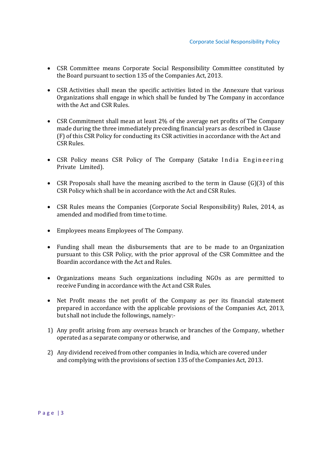- CSR Committee means Corporate Social Responsibility Committee constituted by the Board pursuant to section 135 of the Companies Act, 2013.
- CSR Activities shall mean the specific activities listed in the Annexure that various Organizations shall engage in which shall be funded by The Company in accordance with the Act and CSR Rules.
- CSR Commitment shall mean at least 2% of the average net profits of The Company made during the three immediately preceding financial years as described in Clause (F) of this CSR Policy for conducting its CSR activities in accordance with the Act and CSR Rules.
- CSR Policy means CSR Policy of The Company (Satake India Engineering Private Limited).
- CSR Proposals shall have the meaning ascribed to the term in Clause  $(G)(3)$  of this CSR Policy which shall be in accordance with the Act and CSR Rules.
- CSR Rules means the Companies (Corporate Social Responsibility) Rules, 2014, as amended and modified from time to time.
- Employees means Employees of The Company.
- Funding shall mean the disbursements that are to be made to an Organization pursuant to this CSR Policy, with the prior approval of the CSR Committee and the Boardin accordance with the Act and Rules.
- Organizations means Such organizations including NGOs as are permitted to receive Funding in accordance with the Act and CSR Rules.
- Net Profit means the net profit of the Company as per its financial statement prepared in accordance with the applicable provisions of the Companies Act, 2013, but shall not include the followings, namely:-
- 1) Any profit arising from any overseas branch or branches of the Company, whether operated as a separate company or otherwise, and
- 2) Any dividend received from other companies in India, which are covered under and complying with the provisions of section 135 of the Companies Act, 2013.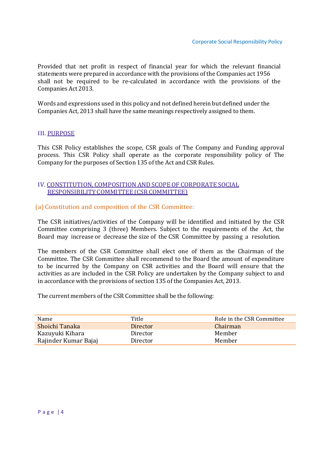Provided that net profit in respect of financial year for which the relevant financial statements were prepared in accordance with the provisions of the Companies act 1956 shall not be required to be re-calculated in accordance with the provisions of the Companies Act 2013.

Words and expressions used in this policy and not defined herein but defined under the Companies Act, 2013 shall have the same meanings respectively assigned to them.

## III. PURPOSE

This CSR Policy establishes the scope, CSR goals of The Company and Funding approval process. This CSR Policy shall operate as the corporate responsibility policy of The Company for the purposes of Section 135 of the Act and CSR Rules.

## IV. CONSTITUTION, COMPOSITION AND SCOPE OF CORPORATE SOCIAL RESPONSIBILITY COMMITTEE (CSR COMMITTEE)

(a) Constitution and composition of the CSR Committee:

The CSR initiatives/activities of the Company will be identified and initiated by the CSR Committee comprising 3 (three) Members. Subject to the requirements of the Act, the Board may increase or decrease the size of the CSR Committee by passing a resolution.

The members of the CSR Committee shall elect one of them as the Chairman of the Committee. The CSR Committee shall recommend to the Board the amount of expenditure to be incurred by the Company on CSR activities and the Board will ensure that the activities as are included in the CSR Policy are undertaken by the Company subject to and in accordance with the provisions of section 135 of the Companies Act, 2013.

The current members of the CSR Committee shall be the following:

| Name                 | Title    | Role in the CSR Committee |
|----------------------|----------|---------------------------|
| Shoichi Tanaka       | Director | Chairman                  |
| Kazuyuki Kihara      | Director | Member                    |
| Rajinder Kumar Bajaj | Director | Member                    |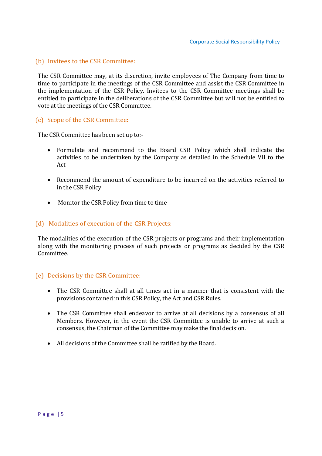## (b) Invitees to the CSR Committee:

The CSR Committee may, at its discretion, invite employees of The Company from time to time to participate in the meetings of the CSR Committee and assist the CSR Committee in the implementation of the CSR Policy. Invitees to the CSR Committee meetings shall be entitled to participate in the deliberations of the CSR Committee but will not be entitled to vote at the meetings of the CSR Committee.

## (c) Scope of the CSR Committee:

The CSR Committee has been set up to:-

- Formulate and recommend to the Board CSR Policy which shall indicate the activities to be undertaken by the Company as detailed in the Schedule VII to the Act
- Recommend the amount of expenditure to be incurred on the activities referred to in the CSR Policy
- Monitor the CSR Policy from time to time

## (d) Modalities of execution of the CSR Projects:

The modalities of the execution of the CSR projects or programs and their implementation along with the monitoring process of such projects or programs as decided by the CSR Committee.

## (e) Decisions by the CSR Committee:

- The CSR Committee shall at all times act in a manner that is consistent with the provisions contained in this CSR Policy, the Act and CSR Rules.
- The CSR Committee shall endeavor to arrive at all decisions by a consensus of all Members. However, in the event the CSR Committee is unable to arrive at such a consensus, the Chairman of the Committee may make the final decision.
- All decisions of the Committee shall be ratified by the Board.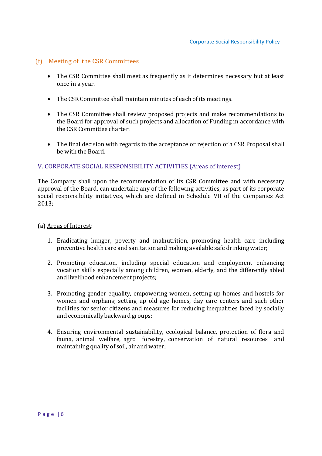## (f) Meeting of the CSR Committees

- The CSR Committee shall meet as frequently as it determines necessary but at least once in a year.
- The CSR Committee shall maintain minutes of each of its meetings.
- The CSR Committee shall review proposed projects and make recommendations to the Board for approval of such projects and allocation of Funding in accordance with the CSR Committee charter.
- The final decision with regards to the acceptance or rejection of a CSR Proposal shall be with the Board.

## V. CORPORATE SOCIAL RESPONSIBILITY ACTIVITIES (Areas of interest)

The Company shall upon the recommendation of its CSR Committee and with necessary approval of the Board, can undertake any of the following activities, as part of its corporate social responsibility initiatives, which are defined in Schedule VII of the Companies Act 2013;

## (a) Areas of Interest:

- 1. Eradicating hunger, poverty and malnutrition, promoting health care including preventive health care and sanitation and making available safe drinking water;
- 2. Promoting education, including special education and employment enhancing vocation skills especially among children, women, elderly, and the differently abled and livelihood enhancement projects;
- 3. Promoting gender equality, empowering women, setting up homes and hostels for women and orphans; setting up old age homes, day care centers and such other facilities for senior citizens and measures for reducing inequalities faced by socially and economically backward groups;
- 4. Ensuring environmental sustainability, ecological balance, protection of flora and fauna, animal welfare, agro forestry, conservation of natural resources and maintaining quality of soil, air and water;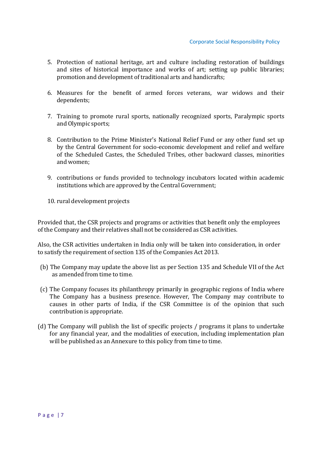- 5. Protection of national heritage, art and culture including restoration of buildings and sites of historical importance and works of art; setting up public libraries; promotion and development of traditional arts and handicrafts;
- 6. Measures for the benefit of armed forces veterans, war widows and their dependents;
- 7. Training to promote rural sports, nationally recognized sports, Paralympic sports and Olympic sports;
- 8. Contribution to the Prime Minister's National Relief Fund or any other fund set up by the Central Government for socio-economic development and relief and welfare of the Scheduled Castes, the Scheduled Tribes, other backward classes, minorities and women;
- 9. contributions or funds provided to technology incubators located within academic institutions which are approved by the Central Government;
- 10. rural development projects

Provided that, the CSR projects and programs or activities that benefit only the employees of the Company and their relatives shall not be considered as CSR activities.

Also, the CSR activities undertaken in India only will be taken into consideration, in order to satisfy the requirement of section 135 of the Companies Act 2013.

- (b) The Company may update the above list as per Section 135 and Schedule VII of the Act as amended from time to time.
- (c) The Company focuses its philanthropy primarily in geographic regions of India where The Company has a business presence. However, The Company may contribute to causes in other parts of India, if the CSR Committee is of the opinion that such contribution is appropriate.
- (d) The Company will publish the list of specific projects / programs it plans to undertake for any financial year, and the modalities of execution, including implementation plan will be published as an Annexure to this policy from time to time.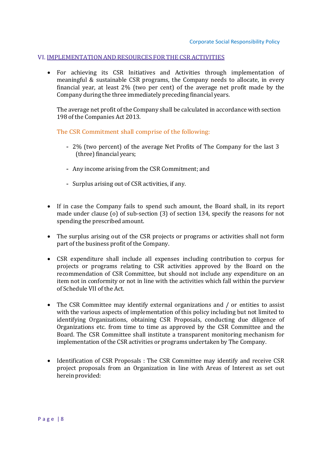#### VI. IMPLEMENTATION AND RESOURCES FOR THE CSR ACTIVITIES

 For achieving its CSR Initiatives and Activities through implementation of meaningful & sustainable CSR programs, the Company needs to allocate, in every financial year, at least 2% (two per cent) of the average net profit made by the Company during the three immediately preceding financial years.

The average net profit of the Company shall be calculated in accordance with section 198 of the Companies Act 2013.

The CSR Commitment shall comprise of the following:

- 2% (two percent) of the average Net Profits of The Company for the last 3 (three) financial years;
- Any income arising from the CSR Commitment; and
- Surplus arising out of CSR activities, if any.
- If in case the Company fails to spend such amount, the Board shall, in its report made under clause (o) of sub-section (3) of section 134, specify the reasons for not spending the prescribed amount.
- The surplus arising out of the CSR projects or programs or activities shall not form part of the business profit of the Company.
- CSR expenditure shall include all expenses including contribution to corpus for projects or programs relating to CSR activities approved by the Board on the recommendation of CSR Committee, but should not include any expenditure on an item not in conformity or not in line with the activities which fall within the purview of Schedule VII of the Act.
- The CSR Committee may identify external organizations and / or entities to assist with the various aspects of implementation of this policy including but not limited to identifying Organizations, obtaining CSR Proposals, conducting due diligence of Organizations etc. from time to time as approved by the CSR Committee and the Board. The CSR Committee shall institute a transparent monitoring mechanism for implementation of the CSR activities or programs undertaken by The Company.
- Identification of CSR Proposals : The CSR Committee may identify and receive CSR project proposals from an Organization in line with Areas of Interest as set out herein provided: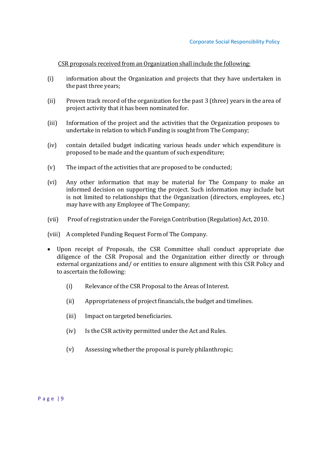CSR proposals received from an Organization shall include the following:

- (i) information about the Organization and projects that they have undertaken in the past three years;
- (ii) Proven track record of the organization for the past 3 (three) years in the area of project activity that it has been nominated for.
- (iii) Information of the project and the activities that the Organization proposes to undertake in relation to which Funding is sought from The Company;
- (iv) contain detailed budget indicating various heads under which expenditure is proposed to be made and the quantum of such expenditure;
- (v) The impact of the activities that are proposed to be conducted;
- (vi) Any other information that may be material for The Company to make an informed decision on supporting the project. Such information may include but is not limited to relationships that the Organization (directors, employees, etc.) may have with any Employee of The Company;
- (vii) Proof of registration under the Foreign Contribution (Regulation) Act, 2010.
- (viii) A completed Funding Request Form of The Company.
- Upon receipt of Proposals, the CSR Committee shall conduct appropriate due diligence of the CSR Proposal and the Organization either directly or through external organizations and/ or entities to ensure alignment with this CSR Policy and to ascertain the following:
	- (i) Relevance of the CSR Proposal to the Areas of Interest.
	- (ii) Appropriateness of project financials, the budget and timelines.
	- (iii) Impact on targeted beneficiaries.
	- (iv) Is the CSR activity permitted under the Act and Rules.
	- (v) Assessing whether the proposal is purely philanthropic;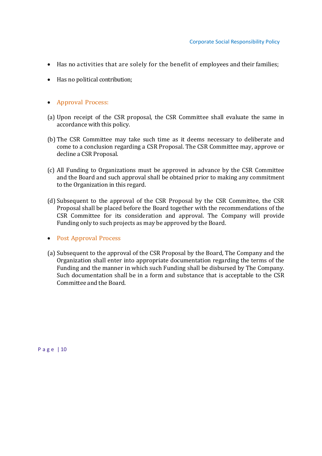- Has no activities that are solely for the benefit of employees and their families;
- Has no political contribution;
- Approval Process:
- (a) Upon receipt of the CSR proposal, the CSR Committee shall evaluate the same in accordance with this policy.
- (b) The CSR Committee may take such time as it deems necessary to deliberate and come to a conclusion regarding a CSR Proposal. The CSR Committee may, approve or decline a CSR Proposal.
- (c) All Funding to Organizations must be approved in advance by the CSR Committee and the Board and such approval shall be obtained prior to making any commitment to the Organization in this regard.
- (d) Subsequent to the approval of the CSR Proposal by the CSR Committee, the CSR Proposal shall be placed before the Board together with the recommendations of the CSR Committee for its consideration and approval. The Company will provide Funding only to such projects as may be approved by the Board.

#### • Post Approval Process

(a) Subsequent to the approval of the CSR Proposal by the Board, The Company and the Organization shall enter into appropriate documentation regarding the terms of the Funding and the manner in which such Funding shall be disbursed by The Company. Such documentation shall be in a form and substance that is acceptable to the CSR Committee and the Board.

P a g e | 10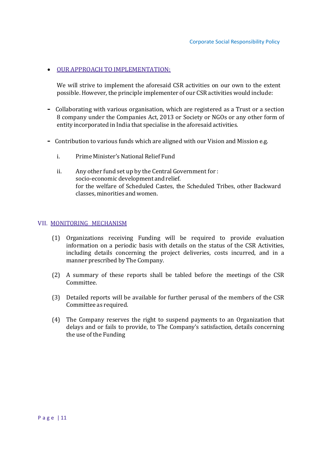## $\bullet$  OUR APPROACH TO IMPLEMENTATION:

We will strive to implement the aforesaid CSR activities on our own to the extent possible. However, the principle implementer of our CSR activities would include:

- Collaborating with various organisation, which are registered as a Trust or a section 8 company under the Companies Act, 2013 or Society or NGOs or any other form of entity incorporated in India that specialise in the aforesaid activities.
- Contribution to various funds which are aligned with our Vision and Mission e.g.
	- i. Prime Minister's National Relief Fund
	- ii. Any other fund set up by the Central Government for : socio-economic development and relief. for the welfare of Scheduled Castes, the Scheduled Tribes, other Backward classes, minorities and women.

## VII. MONITORING MECHANISM

- (1) Organizations receiving Funding will be required to provide evaluation information on a periodic basis with details on the status of the CSR Activities, including details concerning the project deliveries, costs incurred, and in a manner prescribed by The Company.
- (2) A summary of these reports shall be tabled before the meetings of the CSR Committee.
- (3) Detailed reports will be available for further perusal of the members of the CSR Committee as required.
- (4) The Company reserves the right to suspend payments to an Organization that delays and or fails to provide, to The Company's satisfaction, details concerning the use of the Funding